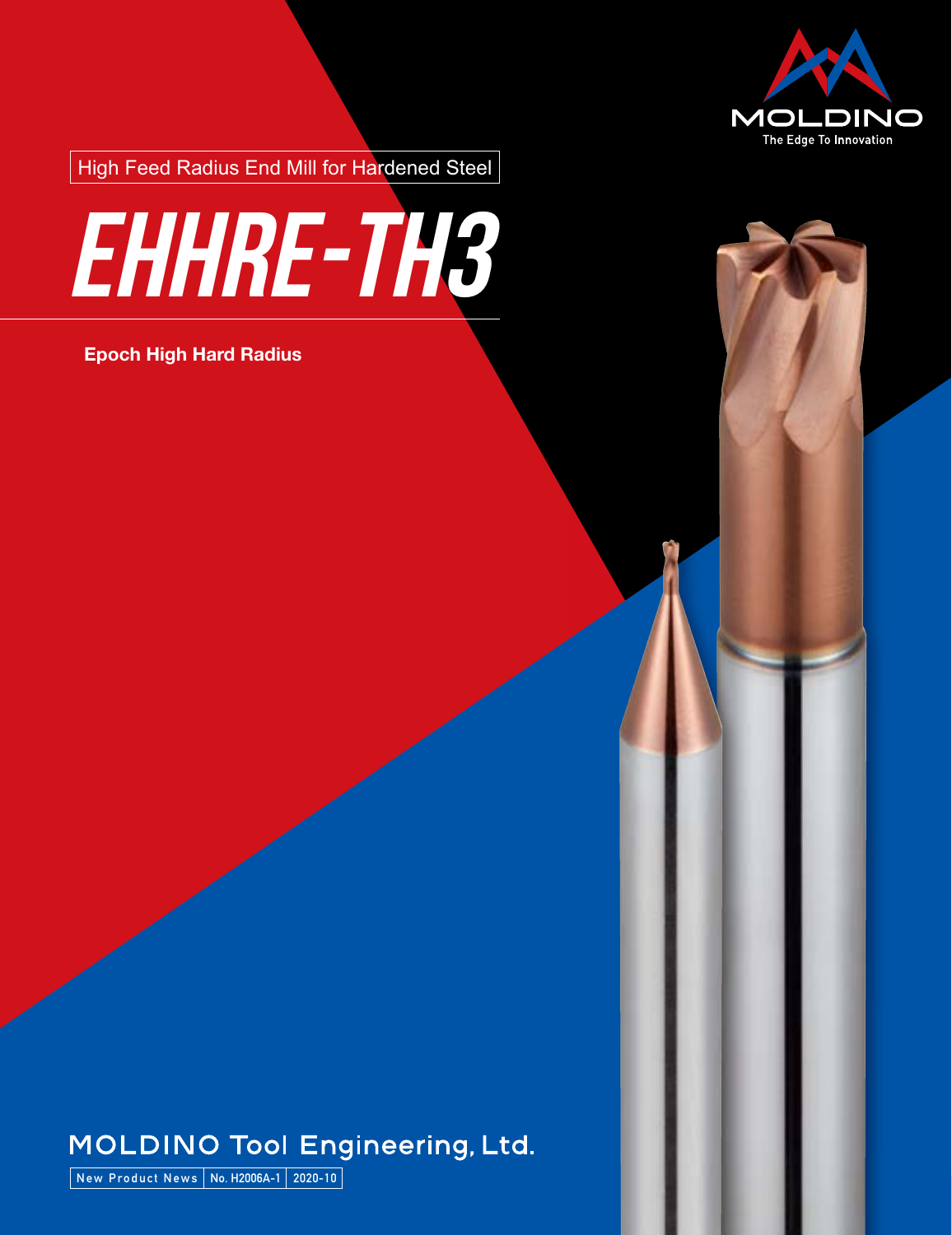

High Feed Radius End Mill for Hardened Steel



### **Epoch High Hard Radius**



## **MOLDINO Tool Engineering, Ltd.**

**New Product News No. H2006A-1 2020-10**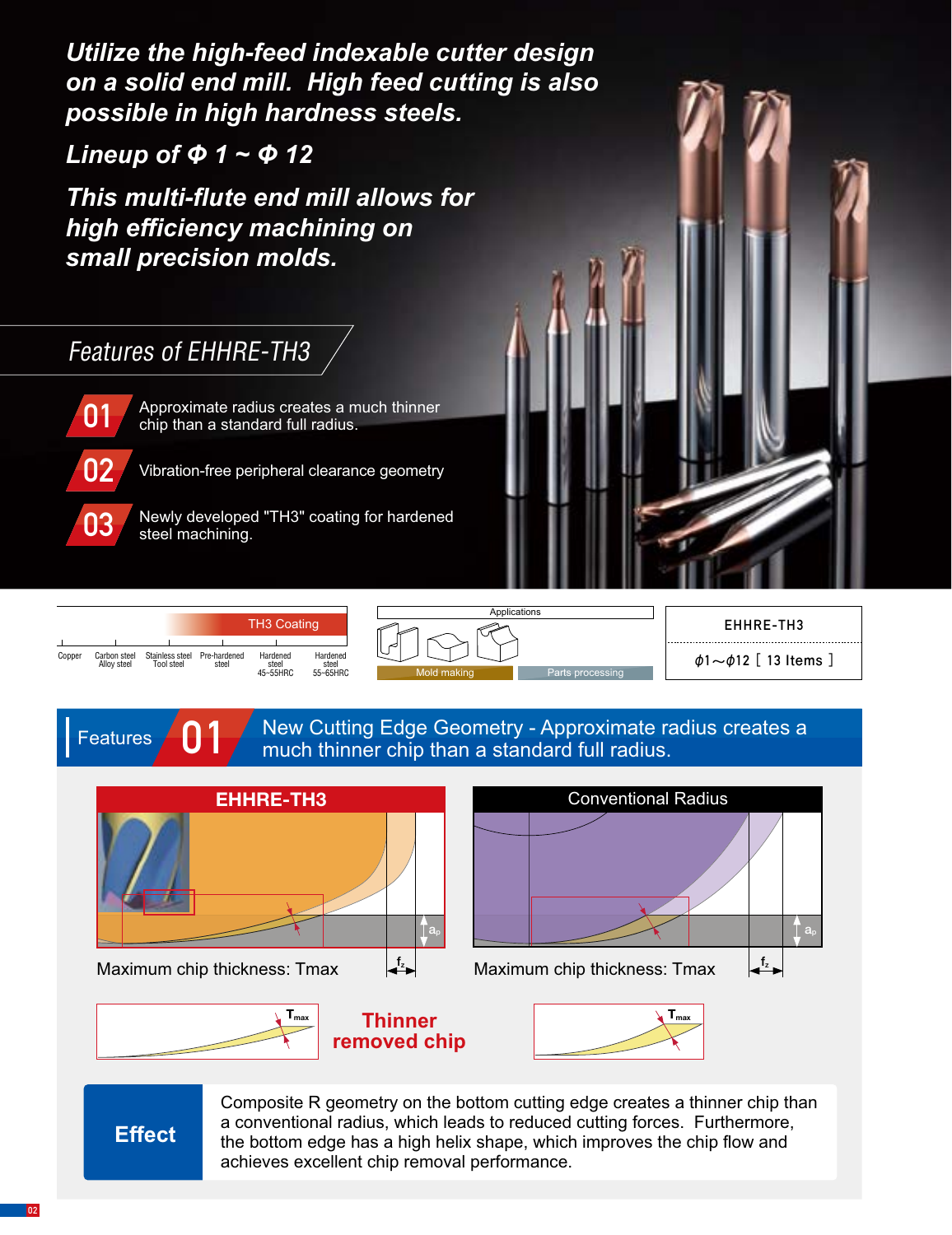**02** *Utilize the high-feed indexable cutter design on a solid end mill. High feed cutting is also possible in high hardness steels.*

*Lineup of Φ 1 ~ Φ 12* 

*This multi-flute end mill allows for high efficiency machining on small precision molds.*

## Features of EHHRE-TH3



**Features** 

Approximate radius creates a much thinner chip than a standard full radius.

Vibration-free peripheral clearance geometry



|        |                             |                               | <b>TH3 Coating</b>    |                               |                               |  |  |  |  |
|--------|-----------------------------|-------------------------------|-----------------------|-------------------------------|-------------------------------|--|--|--|--|
|        |                             |                               |                       |                               |                               |  |  |  |  |
| Copper | Carbon steel<br>Allov steel | Stainless steel<br>Tool steel | Pre-hardened<br>steel | Hardened<br>steel<br>45~55HRC | Hardened<br>steel<br>55~65HRC |  |  |  |  |



### **EHHRE-TH3**

φ**1~**φ**12[ 13 Items ]**

**01** New Cutting Edge Geometry - Approximate radius creates a much thinner chip than a standard full radius.



Composite R geometry on the bottom cutting edge creates a thinner chip than a conventional radius, which leads to reduced cutting forces. Furthermore, the bottom edge has a high helix shape, which improves the chip flow and achieves excellent chip removal performance.

**Effect**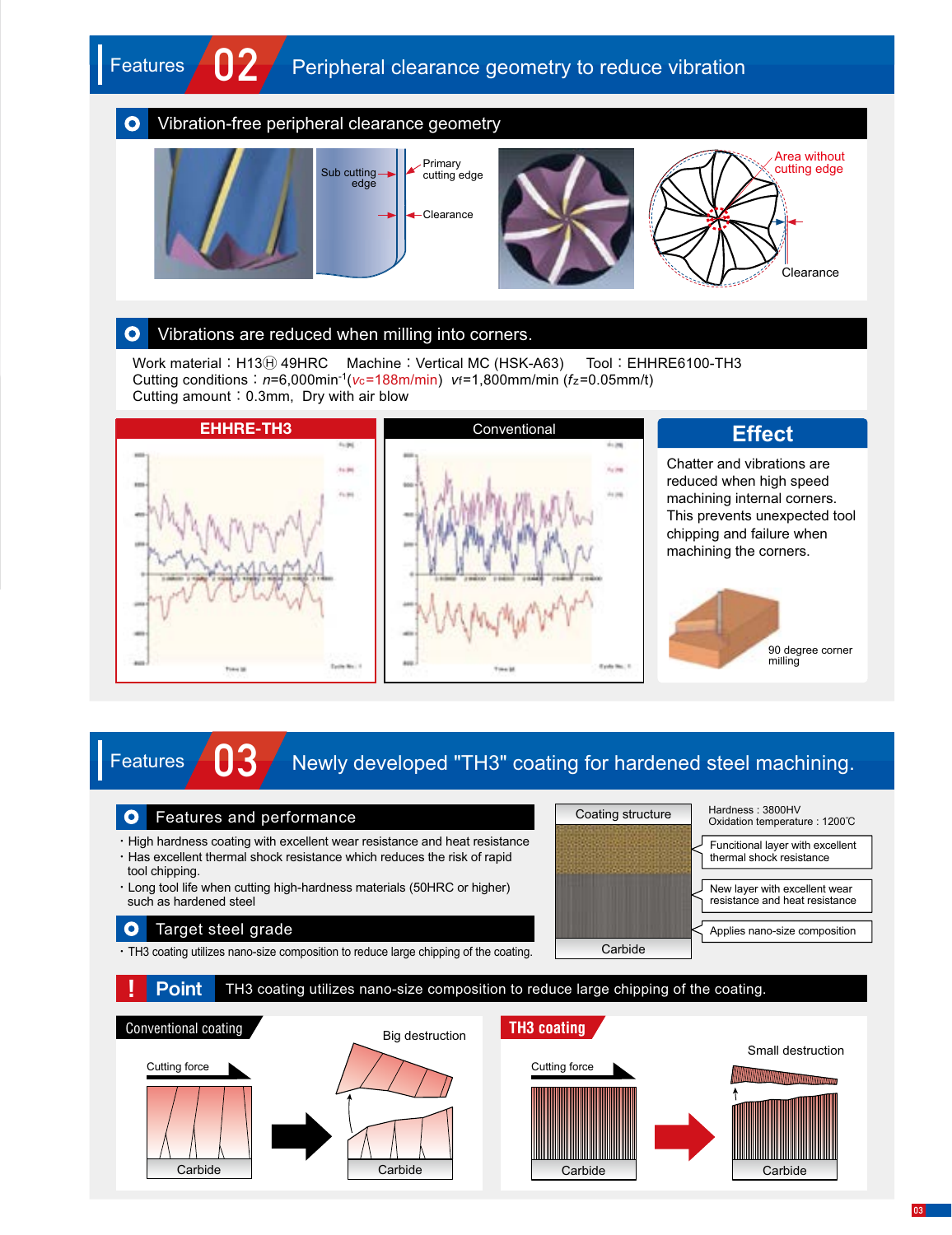#### Vibration-free peripheral clearance geometry  $\mathbf O$



#### Vibrations are reduced when milling into corners.  $\mathbf{o}$

Work material: H13 $\oplus$  49HRC Machine: Vertical MC (HSK-A63) Tool: EHHRE6100-TH3 Cutting conditions:*n*=6,000min-1(*v*c=188m/min) *v*f=1,800mm/min (*f*z=0.05mm/t) Cutting amount: 0.3mm, Dry with air blow



# **Features 63** Newly developed "TH3" coating for hardened steel machining.

#### Features and performance  $\bullet$

- ・High hardness coating with excellent wear resistance and heat resistance
- ・Has excellent thermal shock resistance which reduces the risk of rapid tool chipping.
- ・Long tool life when cutting high-hardness materials (50HRC or higher) such as hardened steel

#### Target steel grade  $\bullet$

**Features** 

・TH3 coating utilizes nano-size composition to reduce large chipping of the coating.



Conventional coating **Big destruction** Carbide Carbide Small destruction Cutting force Carbide Carbide **Point** TH3 coating utilizes nano-size composition to reduce large chipping of the coating. **TH3 coating** Cutting force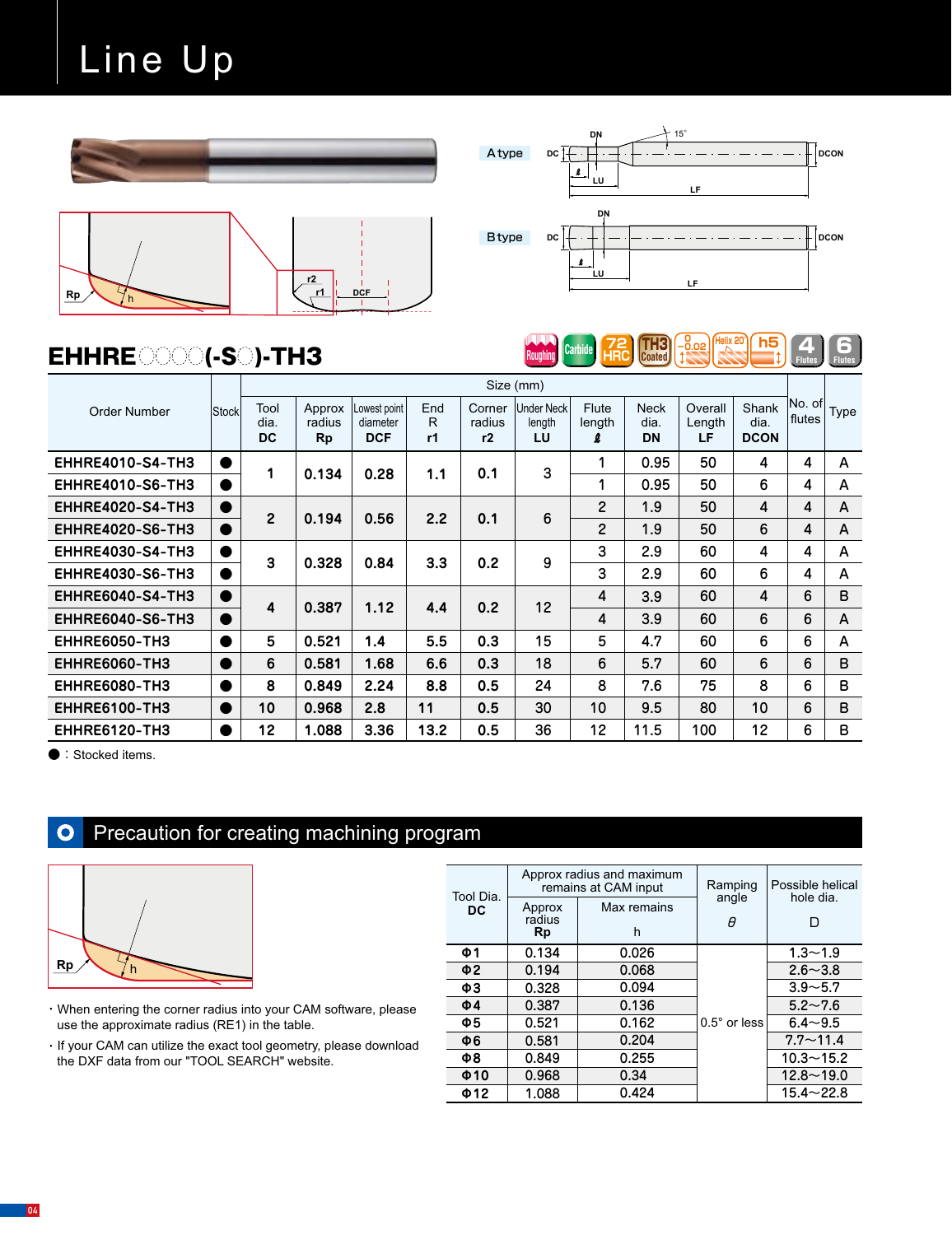# Line Up





**Roughing** Carbide **HRC Coated**  $\left( \frac{72}{1000} \right)$  **Figure 20 Figure 1 Figure 1** 

**72 Carbide** HRC **Coated**   **0 -0.02**

6**Flutes**

**Helix 20° h5**

## $EHHRE$  (XXX) (-S ) - TH3

|                         |                | Size (mm)          |                        |                                       |                |                        |                            |                      |                                  |                         |                              |                  |      |
|-------------------------|----------------|--------------------|------------------------|---------------------------------------|----------------|------------------------|----------------------------|----------------------|----------------------------------|-------------------------|------------------------------|------------------|------|
| Order Number            | Stock          | Tool<br>dia.<br>DC | Approx<br>radius<br>Rp | owest point<br>diameter<br><b>DCF</b> | End<br>R<br>r1 | Corner<br>radius<br>r2 | Under Neck<br>length<br>LU | Flute<br>length<br>ß | <b>Neck</b><br>dia.<br><b>DN</b> | Overall<br>Length<br>LF | Shank<br>dia.<br><b>DCON</b> | No. of<br>flutes | Type |
| <b>EHHRE4010-S4-TH3</b> | $\bullet$      | 1                  | 0.134                  | 0.28                                  | 1.1            | 0.1                    | 3                          | 1                    | 0.95                             | 50                      | 4                            | 4                | A    |
| <b>EHHRE4010-S6-TH3</b> | o              |                    |                        |                                       |                |                        |                            | 1                    | 0.95                             | 50                      | 6                            | 4                | A    |
| <b>EHHRE4020-S4-TH3</b> | D              | $\overline{2}$     |                        | 0.56                                  | 2.2            |                        | 6                          | $\overline{2}$       | 1.9                              | 50                      | $\overline{4}$               | 4                | A    |
| <b>EHHRE4020-S6-TH3</b> | $\bullet$      |                    | 0.194                  |                                       |                | 0.1                    |                            | $\overline{2}$       | 1.9                              | 50                      | 6                            | 4                | A    |
| <b>EHHRE4030-S4-TH3</b> | D              | 3                  | 0.328                  | 0.84                                  | 3.3            | 0.2                    | 9                          | 3                    | 2.9                              | 60                      | 4                            | 4                | A    |
| <b>EHHRE4030-S6-TH3</b> | 0              |                    |                        |                                       |                |                        |                            | 3                    | 2.9                              | 60                      | 6                            | 4                | A    |
| <b>EHHRE6040-S4-TH3</b> | 0              | 4                  | 0.387                  | 1.12                                  | 4.4            | 0.2                    | 12                         | 4                    | 3.9                              | 60                      | 4                            | 6                | B    |
| <b>EHHRE6040-S6-TH3</b> | $\bullet$      |                    |                        |                                       |                |                        |                            | 4                    | 3.9                              | 60                      | 6                            | 6                | A    |
| <b>EHHRE6050-TH3</b>    |                | 5                  | 0.521                  | 1.4                                   | 5.5            | 0.3                    | 15                         | 5                    | 4.7                              | 60                      | 6                            | 6                | A    |
| <b>EHHRE6060-TH3</b>    | $\blacksquare$ | 6                  | 0.581                  | 1.68                                  | 6.6            | 0.3                    | 18                         | 6                    | 5.7                              | 60                      | 6                            | 6                | B    |
| <b>EHHRE6080-TH3</b>    | D              | 8                  | 0.849                  | 2.24                                  | 8.8            | 0.5                    | 24                         | 8                    | 7.6                              | 75                      | 8                            | 6                | B    |
| <b>EHHRE6100-TH3</b>    | $\bullet$      | 10                 | 0.968                  | 2.8                                   | 11             | 0.5                    | 30                         | 10                   | 9.5                              | 80                      | 10                           | 6                | B    |
| <b>EHHRE6120-TH3</b>    |                | 12                 | 1.088                  | 3.36                                  | 13.2           | 0.5                    | 36                         | 12                   | 11.5                             | 100                     | 12                           | 6                | в    |

● : Stocked items.

#### Precaution for creating machining program  $\mathbf{o}$



- ・When entering the corner radius into your CAM software, please use the approximate radius (RE1) in the table.
- ・If your CAM can utilize the exact tool geometry, please download the DXF data from our "TOOL SEARCH" website.

| Tool Dia. |                        | Approx radius and maximum<br>remains at CAM input | Ramping               | Possible helical<br>hole dia.<br>ח |  |  |
|-----------|------------------------|---------------------------------------------------|-----------------------|------------------------------------|--|--|
| <b>DC</b> | Approx<br>radius<br>Rp | Max remains<br>h                                  | angle<br>A            |                                    |  |  |
| Ф1        | 0.134                  | 0.026                                             |                       | $1.3 - 1.9$                        |  |  |
| Ф2        | 0.194                  | 0.068                                             |                       | $2.6 - 3.8$                        |  |  |
| ФЗ        | 0.328                  | 0.094                                             |                       | $3.9 - 5.7$                        |  |  |
| $\Phi$ 4  | 0.387                  | 0.136                                             |                       | $5.2 - 7.6$                        |  |  |
| Ф5        | 0.521                  | 0.162                                             | $0.5^{\circ}$ or less | $6.4 - 9.5$                        |  |  |
| Φ6        | 0.581                  | 0.204                                             |                       | $7.7 - 11.4$                       |  |  |
| Φ8        | 0.849                  | 0.255                                             |                       | $10.3 - 15.2$                      |  |  |
| $\Phi$ 10 | 0.968                  | 0.34                                              |                       | $12.8 - 19.0$                      |  |  |
| Ф12       | 1.088                  | 0.424                                             |                       | $15.4 - 22.8$                      |  |  |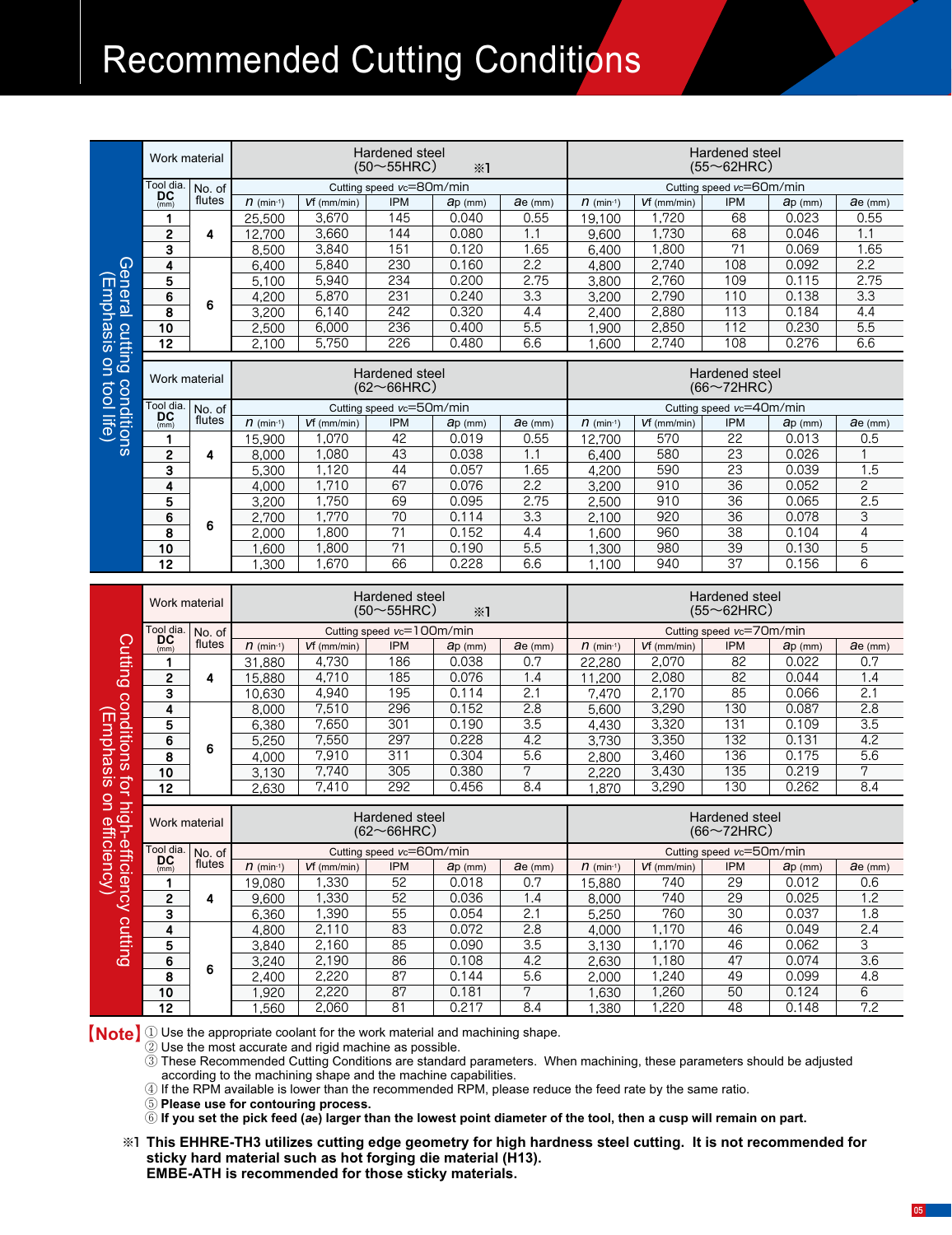# **Recommended Cutting Conditions**

|                                           | Work material   |        |                |                | Hardened steel<br>$(50{\sim}55$ HRC) | $\divideontimes$ 1 |                  | Hardened steel<br>$(55\sim 62$ HRC) |                |                                        |                |                  |  |
|-------------------------------------------|-----------------|--------|----------------|----------------|--------------------------------------|--------------------|------------------|-------------------------------------|----------------|----------------------------------------|----------------|------------------|--|
|                                           | Tool dia.       | No. of |                |                | Cutting speed vc=80m/min             |                    |                  |                                     |                | Cutting speed vc=60m/min               |                |                  |  |
|                                           | DC<br>(mm)      | flutes | $n$ (min-1)    | $Vf$ (mm/min)  | <b>IPM</b>                           | ap (mm)            | ae (mm)          | $n$ (min-1)                         | $Vf$ (mm/min)  | <b>IPM</b>                             | ap (mm)        | $ae$ (mm)        |  |
|                                           | 1               |        | 25,500         | 3,670          | 145                                  | 0.040              | 0.55             | 19,100                              | 1,720          | 68                                     | 0.023          | 0.55             |  |
|                                           | 2               | 4      | 12,700         | 3,660          | 144                                  | 0.080              | 1.1              | 9,600                               | 1,730          | 68                                     | 0.046          | 1.1              |  |
|                                           | 3               |        | 8,500          | 3,840          | 151                                  | 0.120              | 1.65             | 6,400                               | 1,800          | 71                                     | 0.069          | 1.65             |  |
|                                           | 4               |        | 6,400          | 5,840          | 230                                  | 0.160              | 2.2              | 4,800                               | 2,740          | 108                                    | 0.092          | 2.2              |  |
| General                                   | 5               |        | 5,100          | 5,940          | 234                                  | 0.200              | 2.75             | 3,800                               | 2,760          | 109                                    | 0.115          | 2.75             |  |
|                                           | 6               |        | 4,200          | 5,870          | 231                                  | 0.240              | 3.3              | 3,200                               | 2,790          | 110                                    | 0.138          | $\overline{3.3}$ |  |
| Emphasis                                  | 8               | 6      | 3,200          | 6,140          | 242                                  | 0.320              | 4.4              | 2,400                               | 2,880          | 113                                    | 0.184          | 4.4              |  |
|                                           | 10              |        | 2,500          | 6,000          | 236                                  | 0.400              | $\overline{5.5}$ | 1,900                               | 2,850          | 112                                    | 0.230          | 5.5              |  |
|                                           | 12              |        | 2,100          | 5,750          | 226                                  | 0.480              | 6.6              | 1,600                               | 2,740          | 108                                    | 0.276          | 6.6              |  |
| cutting                                   |                 |        |                |                |                                      |                    |                  |                                     |                |                                        |                |                  |  |
| ing conditions<br>s on tool life)         | Work material   |        |                |                | Hardened steel<br>$(62 \sim 66$ HRC  |                    |                  |                                     |                | Hardened steel<br>$(66 \sim 72$ HRC)   |                |                  |  |
|                                           | Tool dia.<br>DC | No. of |                |                | Cutting speed vc=50m/min             |                    |                  |                                     |                | Cutting speed vc=40m/min               |                |                  |  |
|                                           | (mm)            | flutes | $n$ (min-1)    | $Vf$ (mm/min)  | <b>IPM</b>                           | $ap$ (mm)          | $ae$ (mm)        | $n$ (min-1)                         | $Vf$ (mm/min)  | <b>IPM</b>                             | $ap$ (mm)      | $\theta$ e (mm)  |  |
|                                           | 1               |        | 15,900         | 1,070          | 42                                   | 0.019              | 0.55             | 12,700                              | 570            | $\overline{22}$                        | 0.013          | 0.5              |  |
|                                           | $\mathbf{2}$    | 4      | 8,000          | 1,080          | 43                                   | 0.038              | 1.1              | 6,400                               | 580            | $\overline{23}$                        | 0.026          | 1                |  |
|                                           | 3               |        | 5,300          | 1,120          | 44                                   | 0.057              | 1.65             | 4,200                               | 590            | 23                                     | 0.039          | 1.5              |  |
|                                           | 4               |        | 4,000          | 1,710          | 67                                   | 0.076              | 2.2              | 3,200                               | 910            | $\overline{36}$                        | 0.052          | $\overline{2}$   |  |
|                                           | 5               | 6      | 3,200          | 1,750          | 69                                   | 0.095              | 2.75             | 2,500                               | 910            | 36                                     | 0.065          | 2.5              |  |
|                                           | 6               |        | 2,700          | 1,770          | 70                                   | 0.114              | $\overline{3.3}$ | 2,100                               | 920            | 36                                     | 0.078          | 3                |  |
|                                           | 8               |        | 2,000          | 1,800          | 71                                   | 0.152              | 4.4              | 1,600                               | 960            | $\overline{38}$                        | 0.104          | $\overline{4}$   |  |
|                                           | 10              |        | 1,600          | 1,800          | $\overline{71}$                      | 0.190              | 5.5              | 1,300                               | 980            | 39                                     | 0.130          | 5                |  |
|                                           | 12              |        | 1,300          | 1,670          | 66                                   | 0.228              | 6.6              | 1,100                               | 940            | 37                                     | 0.156          | 6                |  |
|                                           |                 |        |                |                |                                      |                    |                  |                                     |                |                                        |                |                  |  |
|                                           | Work material   |        |                |                | Hardened steel<br>$(50 \sim 55$ HRC) | $\divideontimes$ 1 |                  |                                     |                | Hardened steel<br>$(55~62$ HRC)        |                |                  |  |
|                                           | Tool dia.       | No. of |                |                | Cutting speed vc=100m/min            |                    |                  |                                     |                | Cutting speed vc=70m/min               |                |                  |  |
|                                           | DC<br>(mm)      | flutes | $n$ (min-1)    | $Vf$ (mm/min)  | <b>IPM</b>                           | $ap$ (mm)          | $a$ e (mm)       | $n$ (min-1)                         | $Vf$ (mm/min)  | IPM                                    | $ap$ (mm)      | ae (mm)          |  |
|                                           | 1               |        | 31,880         | 4,730          | 186                                  | 0.038              | 0.7              | 22,280                              | 2,070          | 82                                     | 0.022          | 0.7              |  |
|                                           | $\mathbf{2}$    | 4      | 15,880         | 4,710          | 185                                  | 0.076              | 1.4              | 11,200                              | 2,080          | 82                                     | 0.044          | 1.4              |  |
| <b>Cutting</b>                            | 3               |        | 10,630         | 4,940          | 195                                  | 0.114              | $\overline{2.1}$ | 7,470                               | 2,170          | 85                                     | 0.066          | $\overline{2.1}$ |  |
|                                           | 4               |        | 8,000          | 7,510          | 296                                  | 0.152              | 2.8              | 5,600                               | 3,290          | 130                                    | 0.087          | 2.8              |  |
|                                           | 5               |        | 6,380          | 7,650          | 301                                  | 0.190              | $\overline{3.5}$ | 4,430                               | 3,320          | 131                                    | 0.109          | $\overline{3.5}$ |  |
|                                           | 6               |        | 5,250          | 7,550          | 297                                  | 0.228              | 4.2              | 3,730                               | 3,350          | 132                                    | 0.131          | 4.2              |  |
|                                           | 8               | 6      | 4,000          | 7,910          | 311                                  | 0.304              | $\overline{5.6}$ | 2,800                               | 3,460          | 136                                    | 0.175          | $\overline{5.6}$ |  |
| conditions                                | 10              |        | 3,130          | 7,740          | 305                                  | 0.380              | 7                | 2,220                               | 3,430          | 135                                    | 0.219          | 7                |  |
| Emphasis                                  | 12              |        | 2,630          | 7,410          | 292                                  | 0.456              | 8.4              | 1,870                               | 3,290          | 130                                    | 0.262          | 8.4              |  |
|                                           | Work material   |        |                |                | Hardened steel<br>$(62 \sim 66$ HRC) |                    |                  |                                     |                | Hardened steel<br>$(66\sim72$ HRC)     |                |                  |  |
|                                           | Tool dia.       | No. of |                |                | Cutting speed vc=60m/min             |                    |                  |                                     |                |                                        |                |                  |  |
|                                           | DC<br>(mm)      | flutes | $n$ (min-1)    | $Vf$ (mm/min)  | <b>IPM</b>                           | $ap$ (mm)          | $a$ e (mm)       | $n$ (min <sup>-1</sup> )            | $Vf$ (mm/min)  | Cutting speed vc=50m/min<br><b>IPM</b> | ap (mm)        | ae (mm)          |  |
|                                           | 1               |        | 19,080         | 1,330          | 52                                   | 0.018              | 0.7              | 15,880                              | 740            | 29                                     | 0.012          | 0.6              |  |
|                                           | 2               | 4      | 9,600          | 1,330          | 52                                   | 0.036              | 1.4              | 8,000                               | 740            | 29                                     | 0.025          | 1.2              |  |
| for high-efficiency<br>sis on efficiency) | 3               |        | 6,360          | 1,390          | 55                                   | 0.054              | 2.1              | 5,250                               | 760            | 30                                     | 0.037          | 1.8              |  |
|                                           | 4               |        | 4,800          | 2,110          | 83                                   | 0.072              | 2.8              | 4,000                               | 1,170          | 46                                     | 0.049          | 2.4              |  |
|                                           | 5               |        | 3,840          | 2,160          | 85                                   | 0.090              | 3.5              | 3,130                               | 1,170          | 46                                     | 0.062          | 3                |  |
| v cutting                                 | 6               |        | 3,240          | 2,190          | 86                                   | 0.108              | 4.2              | 2,630                               | 1,180          | 47                                     | 0.074          | 3.6              |  |
|                                           | 8               | 6      | 2,400          | 2,220          | 87                                   | 0.144              | 5.6              | 2,000                               | 1,240          | 49                                     | 0.099          | 4.8              |  |
|                                           | 10<br>12        |        | 1,920<br>1,560 | 2,220<br>2,060 | 87<br>81                             | 0.181<br>0.217     | 7<br>8.4         | 1,630<br>1,380                      | 1,260<br>1,220 | 50<br>48                               | 0.124<br>0.148 | 6<br>7.2         |  |

**Note Q** Use the appropriate coolant for the work material and machining shape.

② Use the most accurate and rigid machine as possible.

③ These Recommended Cutting Conditions are standard parameters. When machining, these parameters should be adjusted according to the machining shape and the machine capabilities.

④ If the RPM available is lower than the recommended RPM, please reduce the feed rate by the same ratio.

⑤ **Please use for contouring process.**

⑥ **If you set the pick feed (***a***e) larger than the lowest point diameter of the tool, then a cusp will remain on part.**

**This EHHRE-TH3 utilizes cutting edge geometry for high hardness steel cutting. It is not recommended for**  ※1 **sticky hard material such as hot forging die material (H13). EMBE-ATH is recommended for those sticky materials.**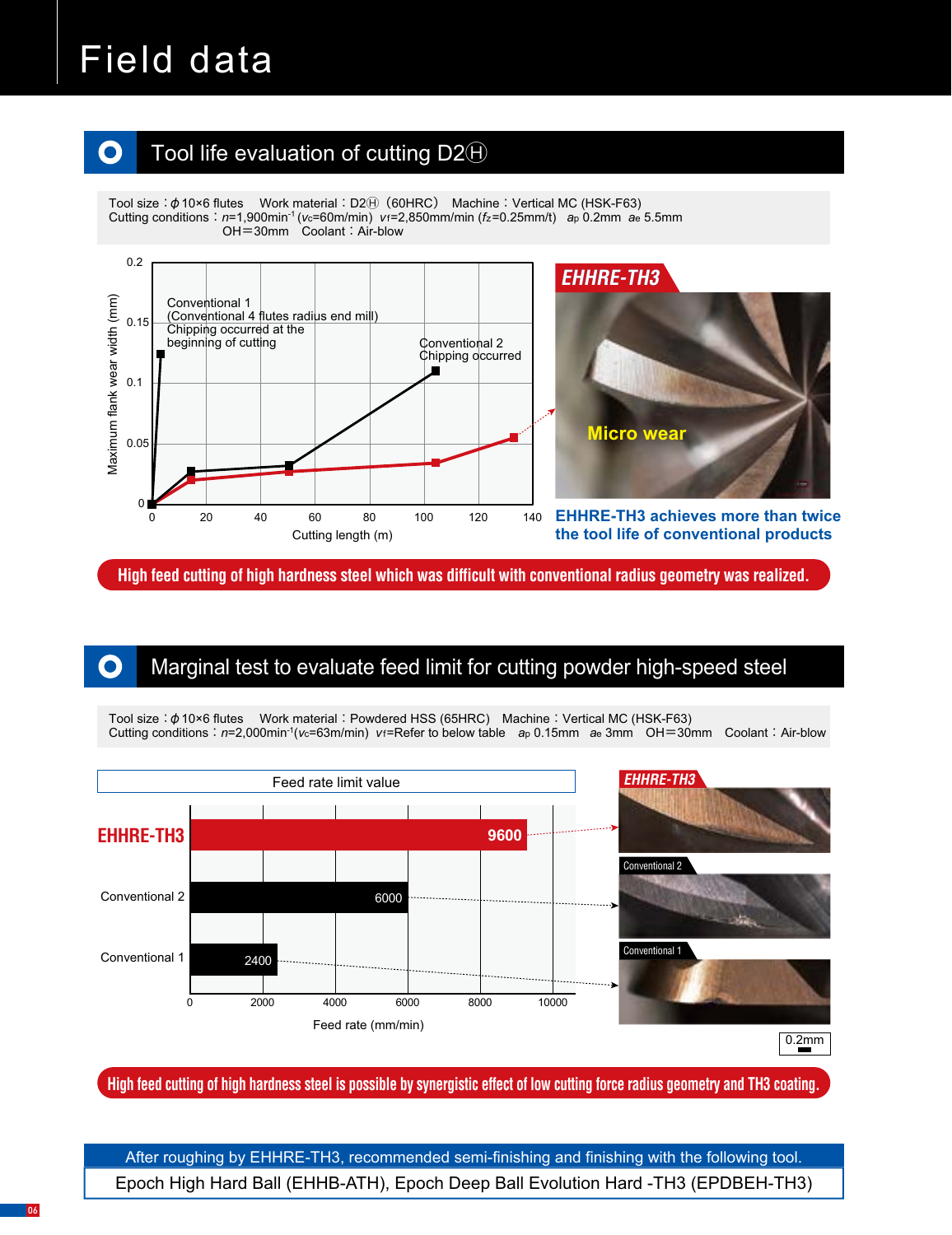# Field data

 $\bullet$ 

#### Tool life evaluation of cutting  $D2\Theta$  $\bullet$

Tool size:  $\phi$  10×6 flutes Work material: D2 $\Theta$  (60HRC) Machine: Vertical MC (HSK-F63) Cutting conditions:*n*=1,900min-1 (*v*c=60m/min) *v*f=2,850mm/min (*f*z=0.25mm/t) *a*p 0.2mm *a*e 5.5mm OH=30mm Coolant: Air-blow





**EHHRE-TH3 achieves more than twice the tool life of conventional products**

**High feed cutting of high hardness steel which was difficult with conventional radius geometry was realized.**

### Marginal test to evaluate feed limit for cutting powder high-speed steel

Tool size:  $\phi$  10×6 flutes Work material: Powdered HSS (65HRC) Machine: Vertical MC (HSK-F63) Cutting conditions:*n*=2,000min-1(*v*c=63m/min) *v*f=Refer to below table *a*p 0.15mm *a*e 3mm OH=30mm Coolant: Air-blow



**High feed cutting of high hardness steel is possible by synergistic effect of low cutting force radius geometry and TH3 coating.**

Epoch High Hard Ball (EHHB-ATH), Epoch Deep Ball Evolution Hard -TH3 (EPDBEH-TH3) After roughing by EHHRE-TH3, recommended semi-finishing and finishing with the following tool.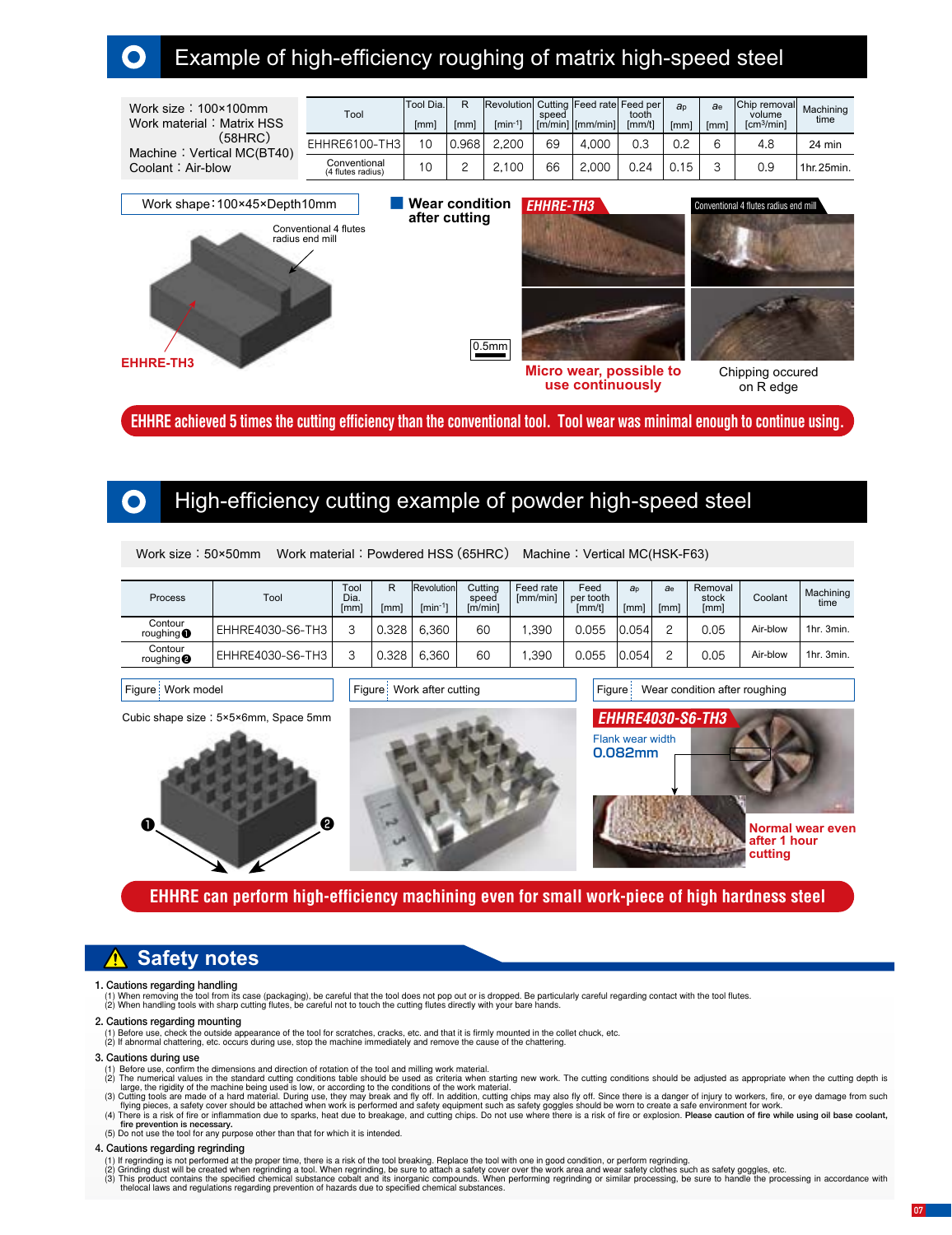### Example of high-efficiency roughing of matrix high-speed steel

| Work size: $100 \times 100$ mm<br>Work material: Matrix HSS | Tool                              | Tool Dia.<br>[mm] | R<br>[mm] | Revolution Cutting Feed rate Feed per<br>$\text{Im}$ in <sup>-1</sup> | speed | $\lceil$ [m/min] $\lceil$ [mm/min] $\rceil$ | tooth<br>fmm/t1 | a <sub>p</sub><br>[mm] | ae.<br>[mm] | Chip removal<br>volume<br>$\text{Icm}^3/\text{min}$ | Machining<br>time |
|-------------------------------------------------------------|-----------------------------------|-------------------|-----------|-----------------------------------------------------------------------|-------|---------------------------------------------|-----------------|------------------------|-------------|-----------------------------------------------------|-------------------|
| (58HRC)<br>Machine: Vertical MC(BT40)                       | EHHRE6100-TH3                     | 10                | 0.968     | 2.200                                                                 | 69    | 4.000                                       | 0.3             | 0.2                    |             | 4.8                                                 | 24 min            |
| Coolant: Air-blow                                           | Conventional<br>(4 flutes radius) | 10                |           | 2.100                                                                 | 66    | 2.000                                       | 0.24            | 0.15                   |             | 0.9                                                 | 1hr.25min.        |



**EHHRE achieved 5 times the cutting efficiency than the conventional tool. Tool wear was minimal enough to continue using.**

### High-efficiency cutting example of powder high-speed steel

| Process                       | Tool             | Tool<br>Dia.<br>[mm] | R<br>[mm] | Revolution<br>$\text{min}^{-1}$ | Cuttina<br>speed<br>[m/min] | Feed rate<br>[mm/min] | Feed<br>per tooth<br>[mm/t] | a <sub>p</sub><br>[mm] | ae<br><b>Imml</b> | Removal<br>stock<br>[mm] | Coolant  | Machining<br>time |
|-------------------------------|------------------|----------------------|-----------|---------------------------------|-----------------------------|-----------------------|-----------------------------|------------------------|-------------------|--------------------------|----------|-------------------|
| Contour<br>roughing $\bullet$ | EHHRE4030-S6-TH3 | ⌒                    | 0.328     | 6.360                           | 60                          | .390                  | 0.055                       | 0.054                  |                   | 0.05                     | Air-blow | 1hr. 3min.        |
| Contour<br>roughing $\bullet$ | EHHRE4030-S6-TH3 | $\sqrt{2}$           | 0.328     | 6.360                           | 60                          | .390                  | 0.055                       | 0.054                  |                   | 0.05                     | Air-blow | 1hr. 3min.        |

Cubic shape size : 5×5×6mm, Space 5mm





Figure Work model **Figure Work after cutting Figure Wear condition after roughing** 



#### **EHHRE can perform high-efficiency machining even for small work-piece of high hardness steel**

### **Safety notes**

#### **1. Cautions regarding handling**

(1) When removing the tool from its case (packaging), be careful that the tool does not pop out or is dropped. Be particularly careful regarding contact with the tool flutes.<br>(2) When handling tools with sharp cutting flut

#### **2. Cautions regarding mounting**

(1) Before use, check the outside appearance of the tool for scratches, cracks, etc. and that it is firmly mounted in the collet chuck, etc.<br>(2) If abnormal chattering, etc. occurs during use, stop the machine immediately

#### **3. Cautions during use**

- 
- (1) Before use, confirm the dimensions and direction of rotation of the tool and milling work material.<br>(2) The numerical values in the standard cutting conditions table should be used as criteria when starting new work. T
- (3) Cutting tools are made of a hard material. During use, they may break and fly off. In addition, cutting chips may also fly off. Since there is a danger of injury to workers, fire, or eye damage from such flying pieces,
- (5) Do not use the tool for any purpose other than that for which it is intended.
- **4. Cautions regarding regrinding**
	-
- 
- (1) If regrinding is not performed at the proper time, there is a risk of the tool breaking. Replace the tool with one in good condition, or perform regrinding.<br>(2) Grinding dust will be created when regrinding a tool. Whe thelocal laws and regulations regarding prevention of hazards due to specified chemical substances.